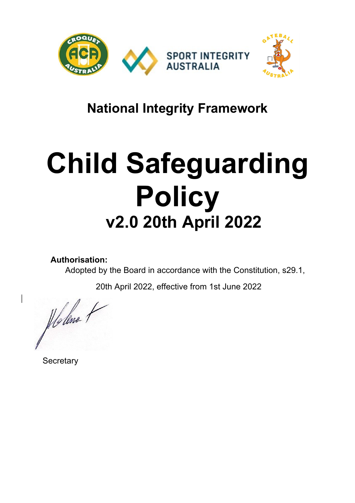

# **National Integrity Framework**

# **Child Safeguarding Policy v2.0 20th April 2022**

**Authorisation:** 

Adopted by the Board in accordance with the Constitution, s29.1,

20th April 2022, effective from 1st June 2022

Holene 1

**Secretary**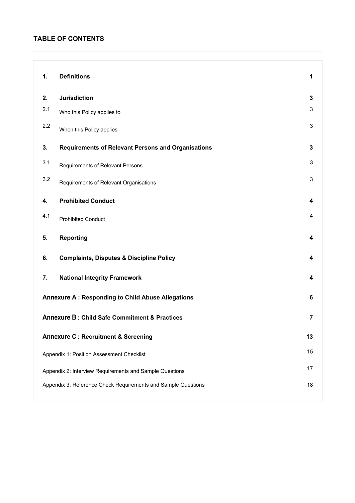# **TABLE OF CONTENTS**

| 1.  | <b>Definitions</b>                                        | 1              |
|-----|-----------------------------------------------------------|----------------|
| 2.  | <b>Jurisdiction</b>                                       | 3              |
| 2.1 | Who this Policy applies to                                | 3              |
| 2.2 | When this Policy applies                                  | 3              |
| 3.  | <b>Requirements of Relevant Persons and Organisations</b> | $\mathbf{3}$   |
| 3.1 | Requirements of Relevant Persons                          | 3              |
| 3.2 | Requirements of Relevant Organisations                    | 3              |
| 4.  | <b>Prohibited Conduct</b>                                 | 4              |
| 4.1 | <b>Prohibited Conduct</b>                                 | 4              |
| 5.  | <b>Reporting</b>                                          | 4              |
|     |                                                           |                |
| 6.  | <b>Complaints, Disputes &amp; Discipline Policy</b>       | 4              |
| 7.  | <b>National Integrity Framework</b>                       | 4              |
|     | Annexure A: Responding to Child Abuse Allegations         | $6\phantom{1}$ |
|     | <b>Annexure B: Child Safe Commitment &amp; Practices</b>  | 7              |
|     | <b>Annexure C: Recruitment &amp; Screening</b>            | 13             |
|     | Appendix 1: Position Assessment Checklist                 | 15             |
|     | Appendix 2: Interview Requirements and Sample Questions   | 17             |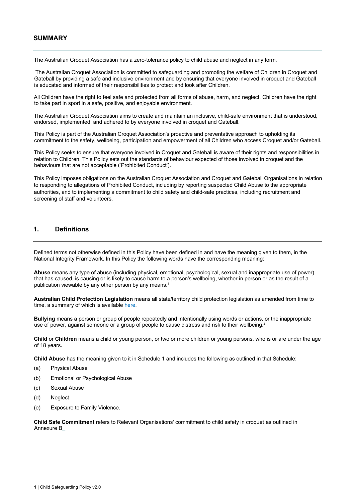# **SUMMARY**

The Australian Croquet Association has a zero-tolerance policy to child abuse and neglect in any form.

The Australian Croquet Association is committed to safeguarding and promoting the welfare of Children in Croquet and Gateball by providing a safe and inclusive environment and by ensuring that everyone involved in croquet and Gateball is educated and informed of their responsibilities to protect and look after Children.

All Children have the right to feel safe and protected from all forms of abuse, harm, and neglect. Children have the right to take part in sport in a safe, positive, and enjoyable environment.

The Australian Croquet Association aims to create and maintain an inclusive, child-safe environment that is understood, endorsed, implemented, and adhered to by everyone involved in croquet and Gateball.

This Policy is part of the Australian Croquet Association's proactive and preventative approach to upholding its commitment to the safety, wellbeing, participation and empowerment of all Children who access Croquet and/or Gateball.

This Policy seeks to ensure that everyone involved in Croquet and Gateball is aware of their rights and responsibilities in relation to Children. This Policy sets out the standards of behaviour expected of those involved in croquet and the behaviours that are not acceptable ('Prohibited Conduct').

This Policy imposes obligations on the Australian Croquet Association and Croquet and Gateball Organisations in relation to responding to allegations of Prohibited Conduct, including by reporting suspected Child Abuse to the appropriate authorities, and to implementing a commitment to child safety and child-safe practices, including recruitment and screening of staff and volunteers.

## **1. Definitions**

Defined terms not otherwise defined in this Policy have been defined in and have the meaning given to them, in the National Integrity Framework. In this Policy the following words have the corresponding meaning:

**Abuse** means any type of abuse (including physical, emotional, psychological, sexual and inappropriate use of power) that has caused, is causing or is likely to cause harm to a person's wellbeing, whether in person or as the result of a publication viewable by any other person by any means.<sup>1</sup>

**Australian Child Protection Legislation** means all state/territory child protection legislation as amended from time to time, a summary of which is available here.

**Bullying** means a person or group of people repeatedly and intentionally using words or actions, or the inappropriate use of power, against someone or a group of people to cause distress and risk to their wellbeing.

**Child** or **Children** means a child or young person, or two or more children or young persons, who is or are under the age of 18 years.

**Child Abuse** has the meaning given to it in Schedule 1 and includes the following as outlined in that Schedule:

- (a) Physical Abuse
- (b) Emotional or Psychological Abuse
- (c) Sexual Abuse
- (d) Neglect
- (e) Exposure to Family Violence.

**Child Safe Commitment** refers to Relevant Organisations' commitment to child safety in croquet as outlined in Annexure B\_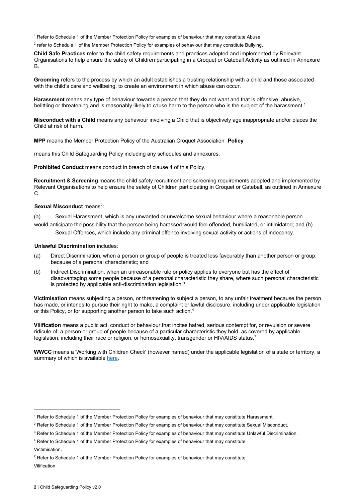<sup>1</sup> Refer to Schedule 1 of the Member Protection Policy for examples of behaviour that may constitute Abuse.

<sup>2</sup> refer to Schedule 1 of the Member Protection Policy for examples of behaviour that may constitute Bullying.

**Child Safe Practices** refer to the child safety requirements and practices adopted and implemented by Relevant Organisations to help ensure the safety of Children participating in a Croquet or Gateball Activity as outlined in Annexure B.

**Grooming** refers to the process by which an adult establishes a trusting relationship with a child and those associated with the child's care and wellbeing, to create an environment in which abuse can occur.

**Harassment** means any type of behaviour towards a person that they do not want and that is offensive, abusive, belittling or threatening and is reasonably likely to cause harm to the person who is the subject of the harassment.<sup>1</sup>

**Misconduct with a Child** means any behaviour involving a Child that is objectively age inappropriate and/or places the Child at risk of harm.

**MPP** means the Member Protection Policy of the Australian Croquet Association **Policy**

means this Child Safeguarding Policy including any schedules and annexures.

**Prohibited Conduct** means conduct in breach of clause 4 of this Policy.

**Recruitment & Screening** means the child safety recruitment and screening requirements adopted and implemented by Relevant Organisations to help ensure the safety of Children participating in Croquet or Gateball, as outlined in Annexure C.

#### **Sexual Misconduct means<sup>2</sup>:**

(a) Sexual Harassment, which is any unwanted or unwelcome sexual behaviour where a reasonable person would anticipate the possibility that the person being harassed would feel offended, humiliated, or intimidated; and (b) Sexual Offences, which include any criminal offence involving sexual activity or actions of indecency.

#### **Unlawful Discrimination** includes:

- (a) Direct Discrimination, when a person or group of people is treated less favourably than another person or group, because of a personal characteristic; and
- (b) Indirect Discrimination, when an unreasonable rule or policy applies to everyone but has the effect of disadvantaging some people because of a personal characteristic they share, where such personal characteristic is protected by applicable anti-discrimination legislation.<sup>3</sup>

**Victimisation** means subjecting a person, or threatening to subject a person, to any unfair treatment because the person has made, or intends to pursue their right to make, a complaint or lawful disclosure, including under applicable legislation or this Policy, or for supporting another person to take such action.4

**Vilification** means a public act, conduct or behaviour that incites hatred, serious contempt for, or revulsion or severe ridicule of, a person or group of people because of a particular characteristic they hold, as covered by applicable legislation, including their race or religion, or homosexuality, transgender or HIV/AIDS status.<sup>7</sup>

**WWCC** means a 'Working with Children Check' (however named) under the applicable legislation of a state or territory, a summary of which is available here.

<sup>&</sup>lt;sup>1</sup> Refer to Schedule 1 of the Member Protection Policy for examples of behaviour that may constitute Harassment.

<sup>&</sup>lt;sup>2</sup> Refer to Schedule 1 of the Member Protection Policy for examples of behaviour that may constitute Sexual Misconduct.

<sup>&</sup>lt;sup>3</sup> Refer to Schedule 1 of the Member Protection Policy for examples of behaviour that may constitute Unlawful Discrimination.

<sup>4</sup> Refer to Schedule 1 of the Member Protection Policy for examples of behaviour that may constitute Victimisation.

 $7$  Refer to Schedule 1 of the Member Protection Policy for examples of behaviour that may constitute Vilification.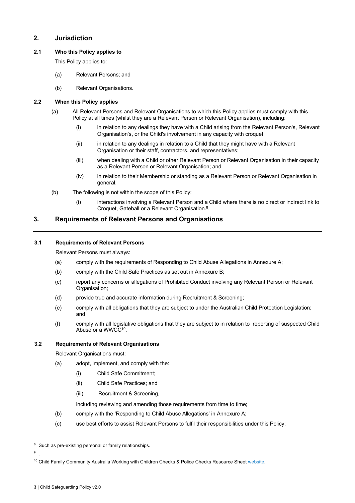# **2. Jurisdiction**

#### **2.1 Who this Policy applies to**

This Policy applies to:

- (a) Relevant Persons; and
- (b) Relevant Organisations.

#### **2.2 When this Policy applies**

- (a) All Relevant Persons and Relevant Organisations to which this Policy applies must comply with this Policy at all times (whilst they are a Relevant Person or Relevant Organisation), including:
	- (i) in relation to any dealings they have with a Child arising from the Relevant Person's, Relevant Organisation's, or the Child's involvement in any capacity with croquet,
	- (ii) in relation to any dealings in relation to a Child that they might have with a Relevant Organisation or their staff, contractors, and representatives;
	- (iii) when dealing with a Child or other Relevant Person or Relevant Organisation in their capacity as a Relevant Person or Relevant Organisation; and
	- (iv) in relation to their Membership or standing as a Relevant Person or Relevant Organisation in general.
- (b) The following is not within the scope of this Policy:
	- (i) interactions involving a Relevant Person and a Child where there is no direct or indirect link to Croquet, Gateball or a Relevant Organisation.8.

## **3. Requirements of Relevant Persons and Organisations**

#### **3.1 Requirements of Relevant Persons**

Relevant Persons must always:

- (a) comply with the requirements of Responding to Child Abuse Allegations in Annexure A;
- (b) comply with the Child Safe Practices as set out in Annexure B;
- (c) report any concerns or allegations of Prohibited Conduct involving any Relevant Person or Relevant Organisation;
- (d) provide true and accurate information during Recruitment & Screening;
- (e) comply with all obligations that they are subject to under the Australian Child Protection Legislation; and
- (f) comply with all legislative obligations that they are subject to in relation to reporting of suspected Child Abuse or a WWCC<sup>10</sup>.

#### **3.2 Requirements of Relevant Organisations**

Relevant Organisations must:

- (a) adopt, implement, and comply with the:
	- (i) Child Safe Commitment;
	- (ii) Child Safe Practices; and
	- (iii) Recruitment & Screening,

including reviewing and amending those requirements from time to time;

- (b) comply with the 'Responding to Child Abuse Allegations' in Annexure A;
- (c) use best efforts to assist Relevant Persons to fulfil their responsibilities under this Policy;

<sup>9</sup> .

<sup>&</sup>lt;sup>8</sup> Such as pre-existing personal or family relationships.

<sup>&</sup>lt;sup>10</sup> Child Family Community Australia Working with Children Checks & Police Checks Resource Sheet website.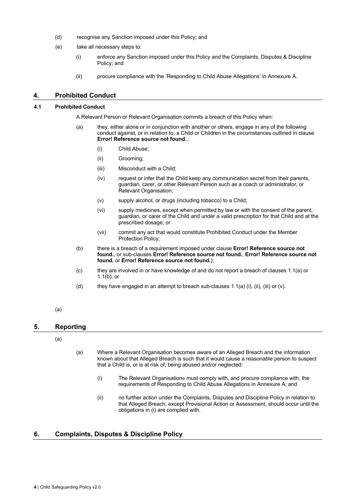- (d) recognise any Sanction imposed under this Policy; and
- (e) take all necessary steps to:
	- (i) enforce any Sanction imposed under this Policy and the Complaints, Disputes & Discipline Policy; and
		- (ii) procure compliance with the 'Responding to Child Abuse Allegations' in Annexure A.

#### **4. Prohibited Conduct**

#### **4.1 Prohibited Conduct**

A Relevant Person or Relevant Organisation commits a breach of this Policy when:

- (a) they, either alone or in conjunction with another or others, engage in any of the following conduct against, or in relation to, a Child or Children in the circumstances outlined in clause **Error! Reference source not found.**.:
	- (i) Child Abuse;
	- (ii) Grooming;
	- (iii) Misconduct with a Child;
	- (iv) request or infer that the Child keep any communication secret from their parents, guardian, carer, or other Relevant Person such as a coach or administrator, or Relevant Organisation;
	- (v) supply alcohol, or drugs (including tobacco) to a Child;
	- (vi) supply medicines, except when permitted by law or with the consent of the parent, guardian, or carer of the Child and under a valid prescription for that Child and at the prescribed dosage; or
	- (vii) commit any act that would constitute Prohibited Conduct under the Member Protection Policy;
- (b) there is a breach of a requirement imposed under clause **Error! Reference source not found.**, or sub-clauses **Error! Reference source not found.**, **Error! Reference source not found.** or **Error! Reference source not found.**);
- (c) they are involved in or have knowledge of and do not report a breach of clauses 1.1(a) or 1.1(b); or
- (d) they have engaged in an attempt to breach sub-clauses 1.1(a) (i), (ii), (iii) or (v).

#### (a)

#### **5. Reporting**

#### (a)

- (a) Where a Relevant Organisation becomes aware of an Alleged Breach and the information known about that Alleged Breach is such that it would cause a reasonable person to suspect that a Child is, or is at risk of, being abused and/or neglected:
	- (i) The Relevant Organisations must comply with, and procure compliance with, the requirements of Responding to Child Abuse Allegations in Annexure A; and
	- (ii) no further action under the Complaints, Disputes and Discipline Policy in relation to that Alleged Breach, except Provisional Action or Assessment, should occur until the obligations in (i) are complied with.

## **6. Complaints, Disputes & Discipline Policy**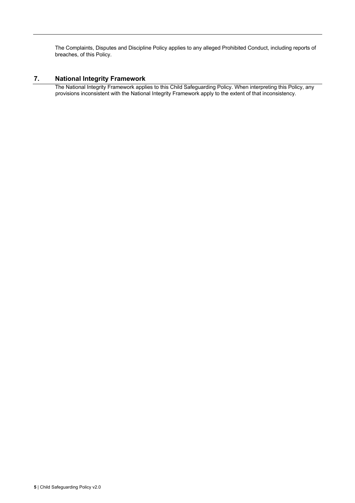The Complaints, Disputes and Discipline Policy applies to any alleged Prohibited Conduct, including reports of breaches, of this Policy.

# **7. National Integrity Framework**

The National Integrity Framework applies to this Child Safeguarding Policy. When interpreting this Policy, any provisions inconsistent with the National Integrity Framework apply to the extent of that inconsistency.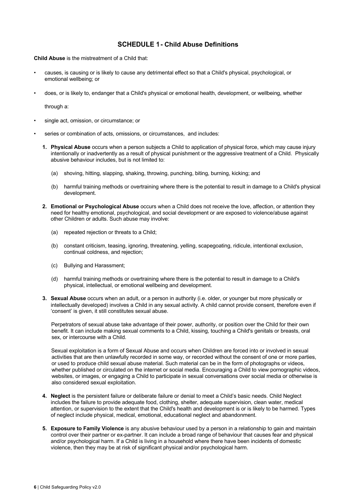# **- Child Abuse Definitions**

**Child Abuse** is the mistreatment of a Child that:

- causes, is causing or is likely to cause any detrimental effect so that a Child's physical, psychological, or emotional wellbeing; or
- does, or is likely to, endanger that a Child's physical or emotional health, development, or wellbeing, whether

through a:

- single act, omission, or circumstance; or
- series or combination of acts, omissions, or circumstances, and includes:
	- **1. Physical Abuse** occurs when a person subjects a Child to application of physical force, which may cause injury intentionally or inadvertently as a result of physical punishment or the aggressive treatment of a Child. Physically abusive behaviour includes, but is not limited to:
		- (a) shoving, hitting, slapping, shaking, throwing, punching, biting, burning, kicking; and
		- (b) harmful training methods or overtraining where there is the potential to result in damage to a Child's physical development.
	- **2. Emotional or Psychological Abuse** occurs when a Child does not receive the love, affection, or attention they need for healthy emotional, psychological, and social development or are exposed to violence/abuse against other Children or adults. Such abuse may involve:
		- (a) repeated rejection or threats to a Child;
		- (b) constant criticism, teasing, ignoring, threatening, yelling, scapegoating, ridicule, intentional exclusion, continual coldness, and rejection;
		- (c) Bullying and Harassment;
		- (d) harmful training methods or overtraining where there is the potential to result in damage to a Child's physical, intellectual, or emotional wellbeing and development.
	- **3. Sexual Abuse** occurs when an adult, or a person in authority (i.e. older, or younger but more physically or intellectually developed) involves a Child in any sexual activity. A child cannot provide consent, therefore even if 'consent' is given, it still constitutes sexual abuse.

Perpetrators of sexual abuse take advantage of their power, authority, or position over the Child for their own benefit. It can include making sexual comments to a Child, kissing, touching a Child's genitals or breasts, oral sex, or intercourse with a Child.

Sexual exploitation is a form of Sexual Abuse and occurs when Children are forced into or involved in sexual activities that are then unlawfully recorded in some way, or recorded without the consent of one or more parties, or used to produce child sexual abuse material. Such material can be in the form of photographs or videos, whether published or circulated on the internet or social media. Encouraging a Child to view pornographic videos, websites, or images, or engaging a Child to participate in sexual conversations over social media or otherwise is also considered sexual exploitation.

- **4. Neglect** is the persistent failure or deliberate failure or denial to meet a Child's basic needs. Child Neglect includes the failure to provide adequate food, clothing, shelter, adequate supervision, clean water, medical attention, or supervision to the extent that the Child's health and development is or is likely to be harmed. Types of neglect include physical, medical, emotional, educational neglect and abandonment.
- **5. Exposure to Family Violence** is any abusive behaviour used by a person in a relationship to gain and maintain control over their partner or ex-partner. It can include a broad range of behaviour that causes fear and physical and/or psychological harm. If a Child is living in a household where there have been incidents of domestic violence, then they may be at risk of significant physical and/or psychological harm.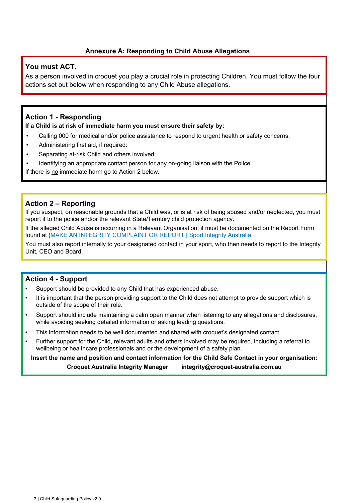# **Annexure A: Responding to Child Abuse Allegations**

# **You must ACT.**

As a person involved in croquet you play a crucial role in protecting Children. You must follow the four actions set out below when responding to any Child Abuse allegations.

# **Action 1 - Responding**

**If a Child is at risk of immediate harm you must ensure their safety by:**

- Calling 000 for medical and/or police assistance to respond to urgent health or safety concerns;
- Administering first aid, if required:
- Separating at-risk Child and others involved;
- Identifying an appropriate contact person for any on-going liaison with the Police.

If there is no immediate harm go to Action 2 below.

# **Action 2 – Reporting**

If you suspect, on reasonable grounds that a Child was, or is at risk of being abused and/or neglected, you must report it to the police and/or the relevant State/Territory child protection agency.

If the alleged Child Abuse is occurring in a Relevant Organisation, it must be documented on the Report Form found at (MAKE AN INTEGRITY COMPLAINT OR REPORT | Sport Integrity Australia

You must also report internally to your designated contact in your sport, who then needs to report to the Integrity Unit, CEO and Board.

# **Action 4 - Support**

- Support should be provided to any Child that has experienced abuse.
- It is important that the person providing support to the Child does not attempt to provide support which is outside of the scope of their role.
- Support should include maintaining a calm open manner when listening to any allegations and disclosures, while avoiding seeking detailed information or asking leading questions.
- This information needs to be well documented and shared with croquet's designated contact.
- Further support for the Child, relevant adults and others involved may be required, including a referral to wellbeing or healthcare professionals and or the development of a safety plan.

**Insert the name and position and contact information for the Child Safe Contact in your organisation: Croquet Australia Integrity Manager integrity@croquet-australia.com.au**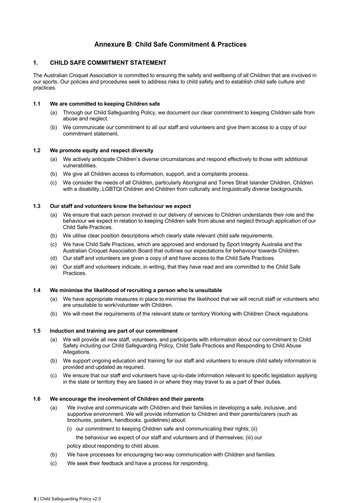# **Annexure B: Child Safe Commitment & Practices**

#### **1. CHILD SAFE COMMITMENT STATEMENT**

The Australian Croquet Association is committed to ensuring the safety and wellbeing of all Children that are involved in our sports. Our policies and procedures seek to address risks to child safety and to establish child safe culture and practices.

#### **1.1 We are committed to keeping Children safe**

- (a) Through our Child Safeguarding Policy, we document our clear commitment to keeping Children safe from abuse and neglect.
- (b) We communicate our commitment to all our staff and volunteers and give them access to a copy of our commitment statement.

#### **1.2 We promote equity and respect diversity**

- (a) We actively anticipate Children's diverse circumstances and respond effectively to those with additional vulnerabilities.
- (b) We give all Children access to information, support, and a complaints process.
- (c) We consider the needs of all Children, particularly Aboriginal and Torres Strait Islander Children, Children with a disability, LGBTQI Children and Children from culturally and linguistically diverse backgrounds.

#### **1.3 Our staff and volunteers know the behaviour we expect**

- (a) We ensure that each person involved in our delivery of services to Children understands their role and the behaviour we expect in relation to keeping Children safe from abuse and neglect through application of our Child Safe Practices.
- (b) We utilise clear position descriptions which clearly state relevant child safe requirements.
- (c) We have Child Safe Practices, which are approved and endorsed by Sport Integrity Australia and the Australian Croquet Association Board that outlines our expectations for behaviour towards Children.
- (d) Our staff and volunteers are given a copy of and have access to the Child Safe Practices.
- (e) Our staff and volunteers indicate, in writing, that they have read and are committed to the Child Safe Practices.

#### **1.4 We minimise the likelihood of recruiting a person who is unsuitable**

- (a) We have appropriate measures in place to minimise the likelihood that we will recruit staff or volunteers who are unsuitable to work/volunteer with Children.
- (b) We will meet the requirements of the relevant state or territory Working with Children Check regulations.

#### **1.5 Induction and training are part of our commitment**

- (a) We will provide all new staff, volunteers, and participants with information about our commitment to Child Safety including our Child Safeguarding Policy, Child Safe Practices and Responding to Child Abuse Allegations.
- (b) We support ongoing education and training for our staff and volunteers to ensure child safety information is provided and updated as required.
- (c) We ensure that our staff and volunteers have up-to-date information relevant to specific legislation applying in the state or territory they are based in or where they may travel to as a part of their duties.

#### **1.6 We encourage the involvement of Children and their parents**

- (a) We involve and communicate with Children and their families in developing a safe, inclusive, and supportive environment. We will provide information to Children and their parents/carers (such as brochures, posters, handbooks, guidelines) about:
	- (i) our commitment to keeping Children safe and communicating their rights; (ii) the behaviour we expect of our staff and volunteers and of themselves; (iii) our policy about responding to child abuse.
- (b) We have processes for encouraging two-way communication with Children and families.
- (c) We seek their feedback and have a process for responding.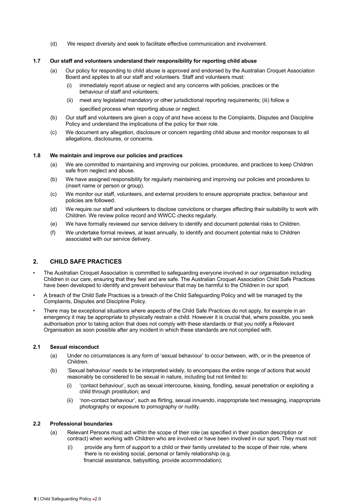(d) We respect diversity and seek to facilitate effective communication and involvement.

#### **1.7 Our staff and volunteers understand their responsibility for reporting child abuse**

- (a) Our policy for responding to child abuse is approved and endorsed by the Australian Croquet Association Board and applies to all our staff and volunteers. Staff and volunteers must:
	- immediately report abuse or neglect and any concerns with policies, practices or the behaviour of staff and volunteers;
	- (ii) meet any legislated mandatory or other jurisdictional reporting requirements; (iii) follow a specified process when reporting abuse or neglect.
- (b) Our staff and volunteers are given a copy of and have access to the Complaints, Disputes and Discipline Policy and understand the implications of the policy for their role.
- (c) We document any allegation, disclosure or concern regarding child abuse and monitor responses to all allegations, disclosures, or concerns.

#### **1.8 We maintain and improve our policies and practices**

- (a) We are committed to maintaining and improving our policies, procedures, and practices to keep Children safe from neglect and abuse.
- (b) We have assigned responsibility for regularly maintaining and improving our policies and procedures to (insert name or person or group).
- (c) We monitor our staff, volunteers, and external providers to ensure appropriate practice, behaviour and policies are followed.
- (d) We require our staff and volunteers to disclose convictions or charges affecting their suitability to work with Children. We review police record and WWCC checks regularly.
- (e) We have formally reviewed our service delivery to identify and document potential risks to Children.
- (f) We undertake formal reviews, at least annually, to identify and document potential risks to Children associated with our service delivery.

#### **2. CHILD SAFE PRACTICES**

- The Australian Croquet Association is committed to safeguarding everyone involved in our organisation including Children in our care, ensuring that they feel and are safe. The Australian Croquet Association Child Safe Practices have been developed to identify and prevent behaviour that may be harmful to the Children in our sport.
- A breach of the Child Safe Practices is a breach of the Child Safeguarding Policy and will be managed by the Complaints, Disputes and Discipline Policy.
- There may be exceptional situations where aspects of the Child Safe Practices do not apply, for example in an emergency it may be appropriate to physically restrain a child. However it is crucial that, where possible, you seek authorisation prior to taking action that does not comply with these standards or that you notify a Relevant Organisation as soon possible after any incident in which these standards are not complied with.

#### **2.1 Sexual misconduct**

- (a) Under no circumstances is any form of 'sexual behaviour' to occur between, with, or in the presence of Children.
- (b) 'Sexual behaviour' needs to be interpreted widely, to encompass the entire range of actions that would reasonably be considered to be sexual in nature, including but not limited to:
	- (i) 'contact behaviour', such as sexual intercourse, kissing, fondling, sexual penetration or exploiting a child through prostitution; and
	- (ii) 'non-contact behaviour', such as flirting, sexual innuendo, inappropriate text messaging, inappropriate photography or exposure to pornography or nudity.

#### **2.2 Professional boundaries**

- (a) Relevant Persons must act within the scope of their role (as specified in their position description or contract) when working with Children who are involved or have been involved in our sport. They must not:
	- (i) provide any form of support to a child or their family unrelated to the scope of their role, where there is no existing social, personal or family relationship (e.g. financial assistance, babysitting, provide accommodation);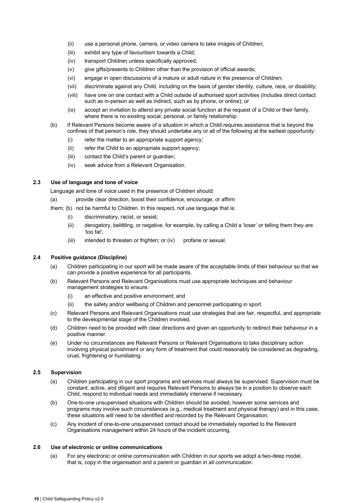- (ii) use a personal phone, camera, or video camera to take images of Children;
- (iii) exhibit any type of favouritism towards a Child;
- (iv) transport Children unless specifically approved;
- (v) give gifts/presents to Children other than the provision of official awards;
- (vi) engage in open discussions of a mature or adult nature in the presence of Children;
- (vii) discriminate against any Child, including on the basis of gender identity, culture, race, or disability;
- (viii) have one on one contact with a Child outside of authorised sport activities (includes direct contact such as in-person as well as indirect, such as by phone, or online); or
- (ix) accept an invitation to attend any private social function at the request of a Child or their family, where there is no existing social, personal, or family relationship.
- (b) If Relevant Persons become aware of a situation in which a Child requires assistance that is beyond the confines of that person's role, they should undertake any or all of the following at the earliest opportunity:
	- (i) refer the matter to an appropriate support agency;
	- (ii) refer the Child to an appropriate support agency;
	- (iii) contact the Child's parent or guardian;
	- (iv) seek advice from a Relevant Organisation.

#### **2.3 Use of language and tone of voice**

Language and tone of voice used in the presence of Children should:

- (a) provide clear direction, boost their confidence, encourage, or affirm
- them; (b) not be harmful to Children. In this respect, not use language that is:
	- (i) discriminatory, racist, or sexist;
	- (ii) derogatory, belittling, or negative, for example, by calling a Child a 'loser' or telling them they are 'too fat';
	- (iii) intended to threaten or frighten; or (iv) profane or sexual.

#### **2.4 Positive guidance (Discipline)**

- (a) Children participating in our sport will be made aware of the acceptable limits of their behaviour so that we can provide a positive experience for all participants.
- (b) Relevant Persons and Relevant Organisations must use appropriate techniques and behaviour management strategies to ensure:
	- (i) an effective and positive environment; and
	- (ii) the safety and/or wellbeing of Children and personnel participating in sport.
- (c) Relevant Persons and Relevant Organisations must use strategies that are fair, respectful, and appropriate to the developmental stage of the Children involved.
- (d) Children need to be provided with clear directions and given an opportunity to redirect their behaviour in a positive manner.
- (e) Under no circumstances are Relevant Persons or Relevant Organisations to take disciplinary action involving physical punishment or any form of treatment that could reasonably be considered as degrading, cruel, frightening or humiliating.

#### **2.5 Supervision**

- (a) Children participating in our sport programs and services must always be supervised. Supervision must be constant, active, and diligent and requires Relevant Persons to always be in a position to observe each Child, respond to individual needs and immediately intervene if necessary.
- (b) One-to-one unsupervised situations with Children should be avoided, however some services and programs may involve such circumstances (e.g., medical treatment and physical therapy) and in this case, these situations will need to be identified and recorded by the Relevant Organisation.
- (c) Any incident of one-to-one unsupervised contact should be immediately reported to the Relevant Organisations management within 24 hours of the incident occurring.

#### **2.6 Use of electronic or online communications**

(a) For any electronic or online communication with Children in our sports we adopt a two-deep model, that is, copy in the organisation and a parent or guardian in all communication.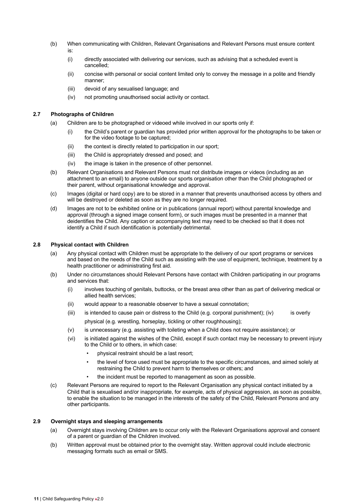- (b) When communicating with Children, Relevant Organisations and Relevant Persons must ensure content is:
	- (i) directly associated with delivering our services, such as advising that a scheduled event is cancelled;
	- (ii) concise with personal or social content limited only to convey the message in a polite and friendly manner;
	- (iii) devoid of any sexualised language; and
	- (iv) not promoting unauthorised social activity or contact.

#### **2.7 Photographs of Children**

- (a) Children are to be photographed or videoed while involved in our sports only if:
	- (i) the Child's parent or guardian has provided prior written approval for the photographs to be taken or for the video footage to be captured;
	- (ii) the context is directly related to participation in our sport;
	- (iii) the Child is appropriately dressed and posed; and
	- (iv) the image is taken in the presence of other personnel.
- (b) Relevant Organisations and Relevant Persons must not distribute images or videos (including as an attachment to an email) to anyone outside our sports organisation other than the Child photographed or their parent, without organisational knowledge and approval.
- (c) Images (digital or hard copy) are to be stored in a manner that prevents unauthorised access by others and will be destroyed or deleted as soon as they are no longer required.
- (d) Images are not to be exhibited online or in publications (annual report) without parental knowledge and approval (through a signed image consent form), or such images must be presented in a manner that deidentifies the Child. Any caption or accompanying text may need to be checked so that it does not identify a Child if such identification is potentially detrimental.

#### **2.8 Physical contact with Children**

- (a) Any physical contact with Children must be appropriate to the delivery of our sport programs or services and based on the needs of the Child such as assisting with the use of equipment, technique, treatment by a health practitioner or administrating first aid.
- (b) Under no circumstances should Relevant Persons have contact with Children participating in our programs and services that:
	- (i) involves touching of genitals, buttocks, or the breast area other than as part of delivering medical or allied health services;
	- (ii) would appear to a reasonable observer to have a sexual connotation;
	- $(iii)$  is intended to cause pain or distress to the Child (e.g. corporal punishment);  $(iv)$  is overly physical (e.g. wrestling, horseplay, tickling or other roughhousing);
	- (v) is unnecessary (e.g. assisting with toileting when a Child does not require assistance); or
	- (vi) is initiated against the wishes of the Child, except if such contact may be necessary to prevent injury to the Child or to others, in which case:
		- physical restraint should be a last resort;
		- the level of force used must be appropriate to the specific circumstances, and aimed solely at restraining the Child to prevent harm to themselves or others; and
		- the incident must be reported to management as soon as possible.
- (c) Relevant Persons are required to report to the Relevant Organisation any physical contact initiated by a Child that is sexualised and/or inappropriate, for example, acts of physical aggression, as soon as possible, to enable the situation to be managed in the interests of the safety of the Child, Relevant Persons and any other participants.

#### **2.9 Overnight stays and sleeping arrangements**

- (a) Overnight stays involving Children are to occur only with the Relevant Organisations approval and consent of a parent or guardian of the Children involved.
- (b) Written approval must be obtained prior to the overnight stay. Written approval could include electronic messaging formats such as email or SMS.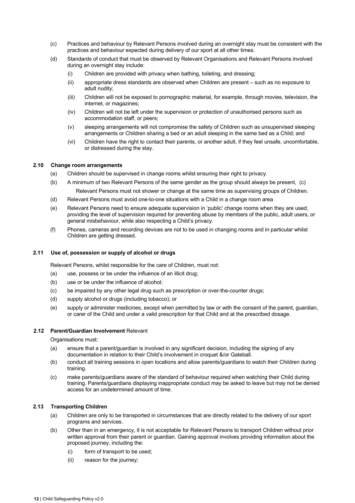- (c) Practices and behaviour by Relevant Persons involved during an overnight stay must be consistent with the practices and behaviour expected during delivery of our sport at all other times.
- (d) Standards of conduct that must be observed by Relevant Organisations and Relevant Persons involved during an overnight stay include:
	- (i) Children are provided with privacy when bathing, toileting, and dressing;
	- (ii) appropriate dress standards are observed when Children are present such as no exposure to adult nudity;
	- (iii) Children will not be exposed to pornographic material, for example, through movies, television, the internet, or magazines;
	- (iv) Children will not be left under the supervision or protection of unauthorised persons such as accommodation staff, or peers;
	- (v) sleeping arrangements will not compromise the safety of Children such as unsupervised sleeping arrangements or Children sharing a bed or an adult sleeping in the same bed as a Child; and
	- (vi) Children have the right to contact their parents, or another adult, if they feel unsafe, uncomfortable, or distressed during the stay.

#### **2.10 Change room arrangements**

- (a) Children should be supervised in change rooms whilst ensuring their right to privacy.
- (b) A minimum of two Relevant Persons of the same gender as the group should always be present, (c) Relevant Persons must not shower or change at the same time as supervising groups of Children.
- (d) Relevant Persons must avoid one-to-one situations with a Child in a change room area
- (e) Relevant Persons need to ensure adequate supervision in 'public' change rooms when they are used, providing the level of supervision required for preventing abuse by members of the public, adult users, or general misbehaviour, while also respecting a Child's privacy.
- (f) Phones, cameras and recording devices are not to be used in changing rooms and in particular whilst Children are getting dressed.

#### **2.11 Use of, possession or supply of alcohol or drugs**

Relevant Persons, whilst responsible for the care of Children, must not:

- (a) use, possess or be under the influence of an illicit drug;
- (b) use or be under the influence of alcohol;
- (c) be impaired by any other legal drug such as prescription or over-the-counter drugs;
- (d) supply alcohol or drugs (including tobacco); or
- (e) supply or administer medicines, except when permitted by law or with the consent of the parent, guardian, or carer of the Child and under a valid prescription for that Child and at the prescribed dosage.

#### **2.12 Parent/Guardian Involvement** Relevant

Organisations must:

- (a) ensure that a parent/guardian is involved in any significant decision, including the signing of any documentation in relation to their Child's involvement in croquet &/or Gateball.
- (b) conduct all training sessions in open locations and allow parents/guardians to watch their Children during training.
- (c) make parents/guardians aware of the standard of behaviour required when watching their Child during training. Parents/guardians displaying inappropriate conduct may be asked to leave but may not be denied access for an undetermined amount of time.

#### **2.13 Transporting Children**

- (a) Children are only to be transported in circumstances that are directly related to the delivery of our sport programs and services.
- (b) Other than in an emergency, it is not acceptable for Relevant Persons to transport Children without prior written approval from their parent or guardian. Gaining approval involves providing information about the proposed journey, including the:
	- (i) form of transport to be used;
	- (ii) reason for the journey;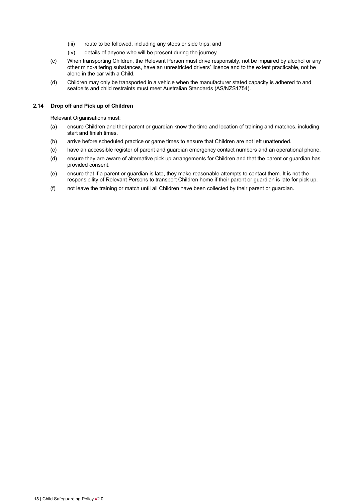- (iii) route to be followed, including any stops or side trips; and
- (iv) details of anyone who will be present during the journey
- (c) When transporting Children, the Relevant Person must drive responsibly, not be impaired by alcohol or any other mind-altering substances, have an unrestricted drivers' licence and to the extent practicable, not be alone in the car with a Child.
- (d) Children may only be transported in a vehicle when the manufacturer stated capacity is adhered to and seatbelts and child restraints must meet Australian Standards (AS/NZS1754).

#### **2.14 Drop off and Pick up of Children**

Relevant Organisations must:

- (a) ensure Children and their parent or guardian know the time and location of training and matches, including start and finish times.
- (b) arrive before scheduled practice or game times to ensure that Children are not left unattended.
- (c) have an accessible register of parent and guardian emergency contact numbers and an operational phone.
- (d) ensure they are aware of alternative pick up arrangements for Children and that the parent or guardian has provided consent.
- (e) ensure that if a parent or guardian is late, they make reasonable attempts to contact them. It is not the responsibility of Relevant Persons to transport Children home if their parent or guardian is late for pick up.
- (f) not leave the training or match until all Children have been collected by their parent or guardian.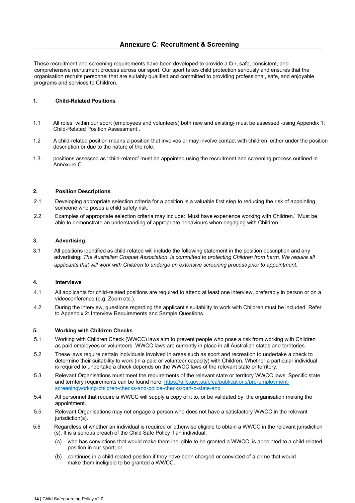These recruitment and screening requirements have been developed to provide a fair, safe, consistent, and comprehensive recruitment process across our sport. Our sport takes child protection seriously and ensures that the organisation recruits personnel that are suitably qualified and committed to providing professional, safe, and enjoyable programs and services to Children.

#### **1. Child-Related Positions**

- 1.1 All roles within our sport (employees and volunteers) both new and existing) must be assessed using Appendix 1: Child-Related Position Assessment .
- 1.2 A child-related position means a position that involves or may involve contact with children, either under the position description or due to the nature of the role.
- 1.3 positions assessed as 'child-related' must be appointed using the recruitment and screening process outlined in Annexure C

#### **2. Position Descriptions**

- 2.1 Developing appropriate selection criteria for a position is a valuable first step to reducing the risk of appointing someone who poses a child safety risk.
- 2.2 Examples of appropriate selection criteria may include: 'Must have experience working with Children.' 'Must be able to demonstrate an understanding of appropriate behaviours when engaging with Children.'

#### **3. Advertising**

3.1 All positions identified as child-related will include the following statement in the position description and any advertising: *The Australian Croquet Association is committed to protecting Children from harm. We require all applicants that will work with Children to undergo an extensive screening process prior to appointment.* 

#### **4. Interviews**

- 4.1 All applicants for child-related positions are required to attend at least one interview, preferably in person or on a videoconference (e.g. Zoom etc.).
- 4.2 During the interview, questions regarding the applicant's suitability to work with Children must be included. Refer to Appendix 2: Interview Requirements and Sample Questions.

#### **5. Working with Children Checks**

- 5.1 Working with Children Check (WWCC) laws aim to prevent people who pose a risk from working with Children as paid employees or volunteers. WWCC laws are currently in place in all Australian states and territories.
- 5.2 These laws require certain individuals involved in areas such as sport and recreation to undertake a check to determine their suitability to work (in a paid or volunteer capacity) with Children. Whether a particular individual is required to undertake a check depends on the WWCC laws of the relevant state or territory.
- 5.3 Relevant Organisations must meet the requirements of the relevant state or territory WWCC laws. Specific state and territory requirements can be found here: https://aifs.gov.au/cfca/publications/pre-employmentscreeningworking-children-checks-and-police-checks/part-b-state-and
- 5.4 All personnel that require a WWCC will supply a copy of it to, or be validated by, the organisation making the appointment.
- 5.5 Relevant Organisations may not engage a person who does not have a satisfactory WWCC in the relevant jurisdiction(s).
- 5.6 Regardless of whether an individual is required or otherwise eligible to obtain a WWCC in the relevant jurisdiction (s). It is a serious breach of the Child Safe Policy if an individual:
	- (a) who has convictions that would make them ineligible to be granted a WWCC, is appointed to a child-related position in our sport; or
	- (b) continues in a child related position if they have been charged or convicted of a crime that would make them ineligible to be granted a WWCC.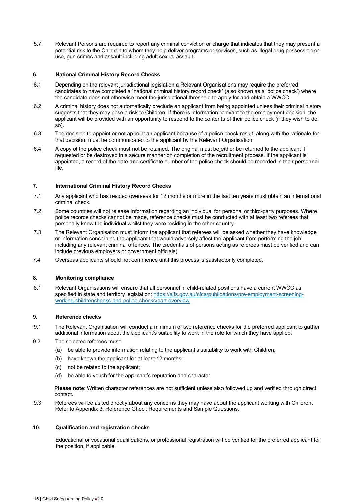5.7 Relevant Persons are required to report any criminal conviction or charge that indicates that they may present a potential risk to the Children to whom they help deliver programs or services, such as illegal drug possession or use, gun crimes and assault including adult sexual assault.

#### **6. National Criminal History Record Checks**

- 6.1 Depending on the relevant jurisdictional legislation a Relevant Organisations may require the preferred candidates to have completed a 'national criminal history record check' (also known as a 'police check') where the candidate does not otherwise meet the jurisdictional threshold to apply for and obtain a WWCC.
- 6.2 A criminal history does not automatically preclude an applicant from being appointed unless their criminal history suggests that they may pose a risk to Children. If there is information relevant to the employment decision, the applicant will be provided with an opportunity to respond to the contents of their police check (if they wish to do so).
- 6.3 The decision to appoint or not appoint an applicant because of a police check result, along with the rationale for that decision, must be communicated to the applicant by the Relevant Organisation.
- 6.4 A copy of the police check must not be retained. The original must be either be returned to the applicant if requested or be destroyed in a secure manner on completion of the recruitment process. If the applicant is appointed, a record of the date and certificate number of the police check should be recorded in their personnel file.

#### **7. International Criminal History Record Checks**

- 7.1 Any applicant who has resided overseas for 12 months or more in the last ten years must obtain an international criminal check.
- 7.2 Some countries will not release information regarding an individual for personal or third-party purposes. Where police records checks cannot be made, reference checks must be conducted with at least two referees that personally knew the individual whilst they were residing in the other country.
- 7.3 The Relevant Organisation must inform the applicant that referees will be asked whether they have knowledge or information concerning the applicant that would adversely affect the applicant from performing the job, including any relevant criminal offences. The credentials of persons acting as referees must be verified and can include previous employers or government officials).
- 7.4 Overseas applicants should not commence until this process is satisfactorily completed.

#### **8. Monitoring compliance**

8.1 Relevant Organisations will ensure that all personnel in child-related positions have a current WWCC as specified in state and territory legislation: https://aifs.gov.au/cfca/publications/pre-employment-screeningworking-childrenchecks-and-police-checks/part-overview

#### **9. Reference checks**

- 9.1 The Relevant Organisation will conduct a minimum of two reference checks for the preferred applicant to gather additional information about the applicant's suitability to work in the role for which they have applied.
- 9.2 The selected referees must:
	- (a) be able to provide information relating to the applicant's suitability to work with Children;
	- (b) have known the applicant for at least 12 months;
	- (c) not be related to the applicant;
	- (d) be able to vouch for the applicant's reputation and character.

**Please note**: Written character references are not sufficient unless also followed up and verified through direct contact.

9.3 Referees will be asked directly about any concerns they may have about the applicant working with Children. Refer to Appendix 3: Reference Check Requirements and Sample Questions.

#### **10. Qualification and registration checks**

Educational or vocational qualifications, or professional registration will be verified for the preferred applicant for the position, if applicable.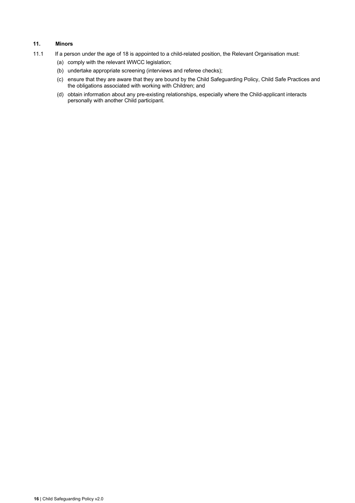# **11. Minors**

- 11.1 If a person under the age of 18 is appointed to a child-related position, the Relevant Organisation must:
	- (a) comply with the relevant WWCC legislation;
	- (b) undertake appropriate screening (interviews and referee checks);
	- (c) ensure that they are aware that they are bound by the Child Safeguarding Policy, Child Safe Practices and the obligations associated with working with Children; and
	- (d) obtain information about any pre-existing relationships, especially where the Child-applicant interacts personally with another Child participant.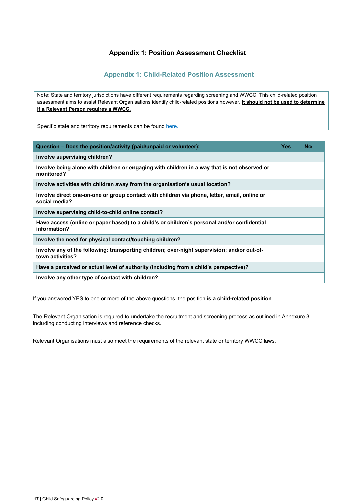# **Appendix 1: Position Assessment Checklist**

# **Appendix 1: Child-Related Position Assessment**

Note: State and territory jurisdictions have different requirements regarding screening and WWCC. This child-related position assessment aims to assist Relevant Organisations identify child-related positions however, **it should not be used to determine if a Relevant Person requires a WWCC.**

Specific state and territory requirements can be found here.

| Question – Does the position/activity (paid/unpaid or volunteer):                                               | <b>Yes</b> | <b>No</b> |
|-----------------------------------------------------------------------------------------------------------------|------------|-----------|
| Involve supervising children?                                                                                   |            |           |
| Involve being alone with children or engaging with children in a way that is not observed or<br>monitored?      |            |           |
| Involve activities with children away from the organisation's usual location?                                   |            |           |
| Involve direct one-on-one or group contact with children via phone, letter, email, online or<br>social media?   |            |           |
| Involve supervising child-to-child online contact?                                                              |            |           |
| Have access (online or paper based) to a child's or children's personal and/or confidential<br>information?     |            |           |
| Involve the need for physical contact/touching children?                                                        |            |           |
| Involve any of the following: transporting children; over-night supervision; and/or out-of-<br>town activities? |            |           |
| Have a perceived or actual level of authority (including from a child's perspective)?                           |            |           |
| Involve any other type of contact with children?                                                                |            |           |

If you answered YES to one or more of the above questions, the position **is a child-related position**.

The Relevant Organisation is required to undertake the recruitment and screening process as outlined in Annexure 3, including conducting interviews and reference checks.

Relevant Organisations must also meet the requirements of the relevant state or territory WWCC laws.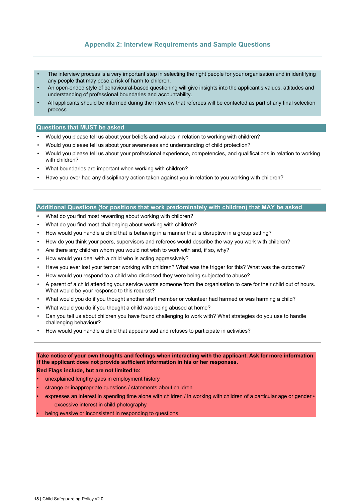# **Appendix 2: Interview Requirements and Sample Questions**

- The interview process is a very important step in selecting the right people for your organisation and in identifying any people that may pose a risk of harm to children.
- An open-ended style of behavioural-based questioning will give insights into the applicant's values, attitudes and understanding of professional boundaries and accountability.
- All applicants should be informed during the interview that referees will be contacted as part of any final selection process.

#### **Questions that MUST be asked**

- Would you please tell us about your beliefs and values in relation to working with children?
- Would you please tell us about your awareness and understanding of child protection?
- Would you please tell us about your professional experience, competencies, and qualifications in relation to working with children?
- What boundaries are important when working with children?
- Have you ever had any disciplinary action taken against you in relation to you working with children?

#### **Additional Questions (for positions that work predominately with children) that MAY be asked**

- What do you find most rewarding about working with children?
- What do you find most challenging about working with children?
- How would you handle a child that is behaving in a manner that is disruptive in a group setting?
- How do you think your peers, supervisors and referees would describe the way you work with children?
- Are there any children whom you would not wish to work with and, if so, why?
- How would you deal with a child who is acting aggressively?
- Have you ever lost your temper working with children? What was the trigger for this? What was the outcome?
- How would you respond to a child who disclosed they were being subjected to abuse?
- A parent of a child attending your service wants someone from the organisation to care for their child out of hours. What would be your response to this request?
- What would you do if you thought another staff member or volunteer had harmed or was harming a child?
- What would you do if you thought a child was being abused at home?
- Can you tell us about children you have found challenging to work with? What strategies do you use to handle challenging behaviour?
- How would you handle a child that appears sad and refuses to participate in activities?

#### **Take notice of your own thoughts and feelings when interacting with the applicant. Ask for more information if the applicant does not provide sufficient information in his or her responses.**

#### **Red Flags include, but are not limited to:**

- unexplained lengthy gaps in employment history
- strange or inappropriate questions / statements about children
- expresses an interest in spending time alone with children / in working with children of a particular age or gender excessive interest in child photography
- being evasive or inconsistent in responding to questions.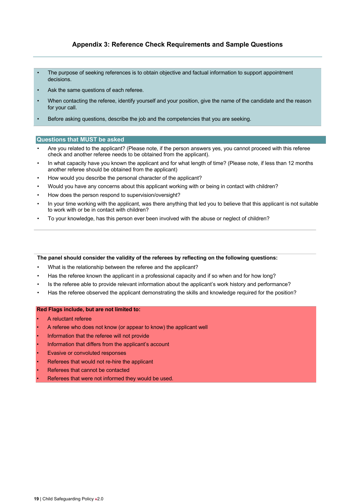# **Appendix 3: Reference Check Requirements and Sample Questions**

- The purpose of seeking references is to obtain objective and factual information to support appointment decisions.
- Ask the same questions of each referee.
- When contacting the referee, identify yourself and your position, give the name of the candidate and the reason for your call.
- Before asking questions, describe the job and the competencies that you are seeking.

#### **Questions that MUST be asked**

- Are you related to the applicant? (Please note, if the person answers yes, you cannot proceed with this referee check and another referee needs to be obtained from the applicant).
- In what capacity have you known the applicant and for what length of time? (Please note, if less than 12 months another referee should be obtained from the applicant)
- How would you describe the personal character of the applicant?
- Would you have any concerns about this applicant working with or being in contact with children?
- How does the person respond to supervision/oversight?
- In your time working with the applicant, was there anything that led you to believe that this applicant is not suitable to work with or be in contact with children?
- To your knowledge, has this person ever been involved with the abuse or neglect of children?

#### **The panel should consider the validity of the referees by reflecting on the following questions:**

- What is the relationship between the referee and the applicant?
- Has the referee known the applicant in a professional capacity and if so when and for how long?
- Is the referee able to provide relevant information about the applicant's work history and performance?
- Has the referee observed the applicant demonstrating the skills and knowledge required for the position?

#### **Red Flags include, but are not limited to:**

- A reluctant referee
- A referee who does not know (or appear to know) the applicant well
- Information that the referee will not provide
- Information that differs from the applicant's account
- **Evasive or convoluted responses**
- Referees that would not re-hire the applicant
- Referees that cannot be contacted
- Referees that were not informed they would be used.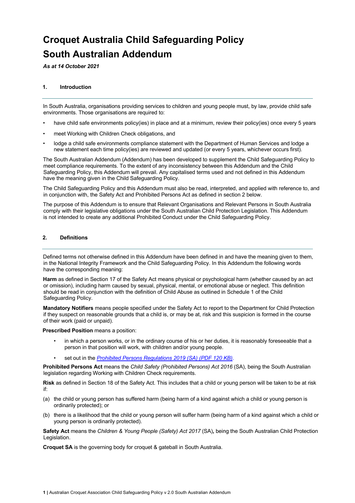# **Croquet Australia Child Safeguarding Policy South Australian Addendum**

*As at 14 October 2021* 

#### **1. Introduction**

In South Australia, organisations providing services to children and young people must, by law, provide child safe environments. Those organisations are required to:

- have child safe environments policy(ies) in place and at a minimum, review their policy(ies) once every 5 years
- meet Working with Children Check obligations, and
- lodge a child safe environments compliance statement with the Department of Human Services and lodge a new statement each time policy(ies) are reviewed and updated (or every 5 years, whichever occurs first).

The South Australian Addendum (Addendum) has been developed to supplement the Child Safeguarding Policy to meet compliance requirements. To the extent of any inconsistency between this Addendum and the Child Safeguarding Policy, this Addendum will prevail. Any capitalised terms used and not defined in this Addendum have the meaning given in the Child Safeguarding Policy.

The Child Safeguarding Policy and this Addendum must also be read, interpreted, and applied with reference to, and in conjunction with, the Safety Act and Prohibited Persons Act as defined in section 2 below.

The purpose of this Addendum is to ensure that Relevant Organisations and Relevant Persons in South Australia comply with their legislative obligations under the South Australian Child Protection Legislation. This Addendum is not intended to create any additional Prohibited Conduct under the Child Safeguarding Policy.

#### **2. Definitions**

Defined terms not otherwise defined in this Addendum have been defined in and have the meaning given to them, in the National Integrity Framework and the Child Safeguarding Policy. In this Addendum the following words have the corresponding meaning:

**Harm** as defined in Section 17 of the Safety Act means physical or psychological harm (whether caused by an act or omission), including harm caused by sexual, physical, mental, or emotional abuse or neglect. This definition should be read in conjunction with the definition of Child Abuse as outlined in Schedule 1 of the Child Safeguarding Policy.

**Mandatory Notifiers** means people specified under the Safety Act to report to the Department for Child Protection if they suspect on reasonable grounds that a child is, or may be at, risk and this suspicion is formed in the course of their work (paid or unpaid).

**Prescribed Position** means a position:

- in which a person works, or in the ordinary course of his or her duties, it is reasonably foreseeable that a person in that position will work, with children and/or young people.
- set out in the *Prohibited Persons Regulations 2019 (SA) (PDF 120 KB)*.

**Prohibited Persons Act** means the *Child Safety (Prohibited Persons) Act 2016* (SA), being the South Australian legislation regarding Working with Children Check requirements.

**Risk** as defined in Section 18 of the Safety Act. This includes that a child or young person will be taken to be at risk if:

- (a) the child or young person has suffered harm (being harm of a kind against which a child or young person is ordinarily protected); or
- (b) there is a likelihood that the child or young person will suffer harm (being harm of a kind against which a child or young person is ordinarily protected).

**Safety Act** means the *Children & Young People (Safety) Act 2017* (SA)**,** being the South Australian Child Protection Legislation.

**Croquet SA** is the governing body for croquet & gateball in South Australia.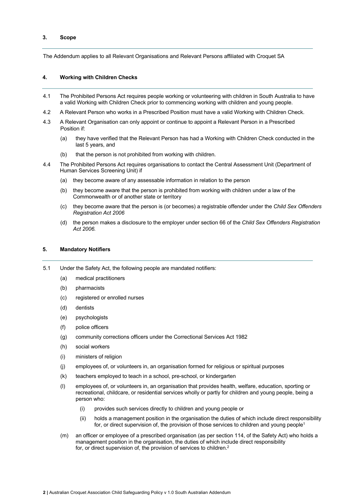#### **3. Scope**

The Addendum applies to all Relevant Organisations and Relevant Persons affiliated with Croquet SA

#### **4. Working with Children Checks**

- 4.1 The Prohibited Persons Act requires people working or volunteering with children in South Australia to have a valid Working with Children Check prior to commencing working with children and young people.
- 4.2 A Relevant Person who works in a Prescribed Position must have a valid Working with Children Check.
- 4.3 A Relevant Organisation can only appoint or continue to appoint a Relevant Person in a Prescribed Position if:
	- (a) they have verified that the Relevant Person has had a Working with Children Check conducted in the last 5 years, and
	- (b) that the person is not prohibited from working with children.
- 4.4 The Prohibited Persons Act requires organisations to contact the Central Assessment Unit (Department of Human Services Screening Unit) if
	- (a) they become aware of any assessable information in relation to the person
	- (b) they become aware that the person is prohibited from working with children under a law of the Commonwealth or of another state or territory
	- (c) they become aware that the person is (or becomes) a registrable offender under the *Child Sex Offenders Registration Act 2006*
	- (d) the person makes a disclosure to the employer under section 66 of the *Child Sex Offenders Registration Act 2006.*

#### **5. Mandatory Notifiers**

- 5.1 Under the Safety Act, the following people are mandated notifiers:
	- (a) medical practitioners
	- (b) pharmacists
	- (c) registered or enrolled nurses
	- (d) dentists
	- (e) psychologists
	- (f) police officers
	- (g) community corrections officers under the Correctional Services Act 1982
	- (h) social workers
	- (i) ministers of religion
	- (j) employees of, or volunteers in, an organisation formed for religious or spiritual purposes
	- (k) teachers employed to teach in a school, pre-school, or kindergarten
	- (l) employees of, or volunteers in, an organisation that provides health, welfare, education, sporting or recreational, childcare, or residential services wholly or partly for children and young people, being a person who:
		- (i) provides such services directly to children and young people or
		- (ii) holds a management position in the organisation the duties of which include direct responsibility for, or direct supervision of, the provision of those services to children and young people<sup>1</sup>
	- (m) an officer or employee of a prescribed organisation (as per section 114, of the Safety Act) who holds a management position in the organisation, the duties of which include direct responsibility for, or direct supervision of, the provision of services to children.<sup>2</sup>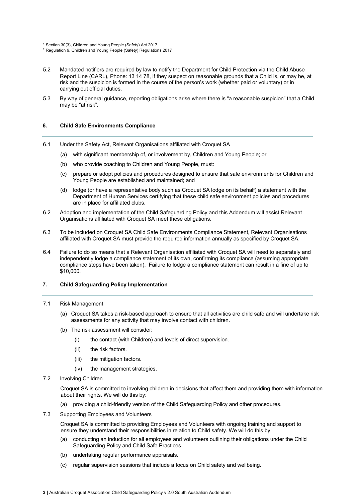- 5.2 Mandated notifiers are required by law to notify the Department for Child Protection via the Child Abuse Report Line (CARL), Phone: 13 14 78, if they suspect on reasonable grounds that a Child is, or may be, at risk and the suspicion is formed in the course of the person's work (whether paid or voluntary) or in carrying out official duties.
- 5.3 By way of general guidance, reporting obligations arise where there is "a reasonable suspicion" that a Child may be "at risk".

#### **6. Child Safe Environments Compliance**

- 6.1 Under the Safety Act, Relevant Organisations affiliated with Croquet SA
	- (a) with significant membership of, or involvement by, Children and Young People; or
	- (b) who provide coaching to Children and Young People, must:
	- (c) prepare or adopt policies and procedures designed to ensure that safe environments for Children and Young People are established and maintained; and
	- (d) lodge (or have a representative body such as Croquet SA lodge on its behalf) a statement with the Department of Human Services certifying that these child safe environment policies and procedures are in place for affiliated clubs.
- 6.2 Adoption and implementation of the Child Safeguarding Policy and this Addendum will assist Relevant Organisations affiliated with Croquet SA meet these obligations.
- 6.3 To be included on Croquet SA Child Safe Environments Compliance Statement, Relevant Organisations affiliated with Croquet SA must provide the required information annually as specified by Croquet SA.
- 6.4 Failure to do so means that a Relevant Organisation affiliated with Croquet SA will need to separately and independently lodge a compliance statement of its own, confirming its compliance (assuming appropriate compliance steps have been taken). Failure to lodge a compliance statement can result in a fine of up to \$10,000.

#### **7. Child Safeguarding Policy Implementation**

#### 7.1 Risk Management

- (a) Croquet SA takes a risk-based approach to ensure that all activities are child safe and will undertake risk assessments for any activity that may involve contact with children.
- (b) The risk assessment will consider:
	- (i) the contact (with Children) and levels of direct supervision.
	- (ii) the risk factors.
	- (iii) the mitigation factors.
	- (iv) the management strategies.
- 7.2 Involving Children

Croquet SA is committed to involving children in decisions that affect them and providing them with information about their rights. We will do this by:

- (a) providing a child-friendly version of the Child Safeguarding Policy and other procedures.
- 7.3 Supporting Employees and Volunteers

Croquet SA is committed to providing Employees and Volunteers with ongoing training and support to ensure they understand their responsibilities in relation to Child safety. We will do this by:

- (a) conducting an induction for all employees and volunteers outlining their obligations under the Child Safeguarding Policy and Child Safe Practices.
- (b) undertaking regular performance appraisals.
- (c) regular supervision sessions that include a focus on Child safety and wellbeing.

<sup>1</sup> Section 30(3), Children and Young People (Safety) Act 2017

<sup>2</sup> Regulation 9, Children and Young People (Safety) Regulations 2017